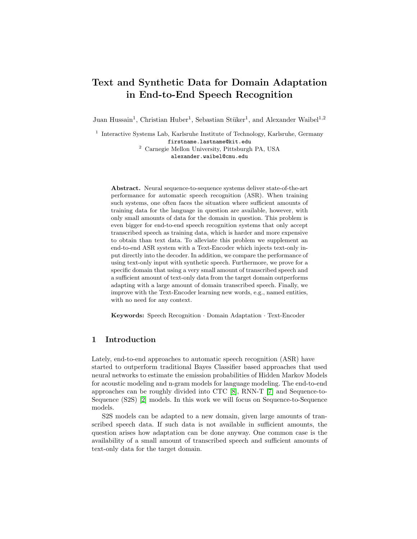# Text and Synthetic Data for Domain Adaptation in End-to-End Speech Recognition

Juan Hussain<sup>1</sup>, Christian Huber<sup>1</sup>, Sebastian Stüker<sup>1</sup>, and Alexander Waibel<sup>1,2</sup>

<sup>1</sup> Interactive Systems Lab, Karlsruhe Institute of Technology, Karlsruhe, Germany firstname.lastname@kit.edu <sup>2</sup> Carnegie Mellon University, Pittsburgh PA, USA

alexander.waibel@cmu.edu

Abstract. Neural sequence-to-sequence systems deliver state-of-the-art performance for automatic speech recognition (ASR). When training such systems, one often faces the situation where sufficient amounts of training data for the language in question are available, however, with only small amounts of data for the domain in question. This problem is even bigger for end-to-end speech recognition systems that only accept transcribed speech as training data, which is harder and more expensive to obtain than text data. To alleviate this problem we supplement an end-to-end ASR system with a Text-Encoder which injects text-only input directly into the decoder. In addition, we compare the performance of using text-only input with synthetic speech. Furthermore, we prove for a specific domain that using a very small amount of transcribed speech and a sufficient amount of text-only data from the target domain outperforms adapting with a large amount of domain transcribed speech. Finally, we improve with the Text-Encoder learning new words, e.g., named entities, with no need for any context.

Keywords: Speech Recognition · Domain Adaptation · Text-Encoder

# 1 Introduction

Lately, end-to-end approaches to automatic speech recognition (ASR) have started to outperform traditional Bayes Classifier based approaches that used neural networks to estimate the emission probabilities of Hidden Markov Models for acoustic modeling and n-gram models for language modeling. The end-to-end approaches can be roughly divided into CTC [\[8\]](#page-6-0), RNN-T [\[7\]](#page-6-1) and Sequence-to-Sequence (S2S) [\[2\]](#page-6-2) models. In this work we will focus on Sequence-to-Sequence models.

S2S models can be adapted to a new domain, given large amounts of transcribed speech data. If such data is not available in sufficient amounts, the question arises how adaptation can be done anyway. One common case is the availability of a small amount of transcribed speech and sufficient amounts of text-only data for the target domain.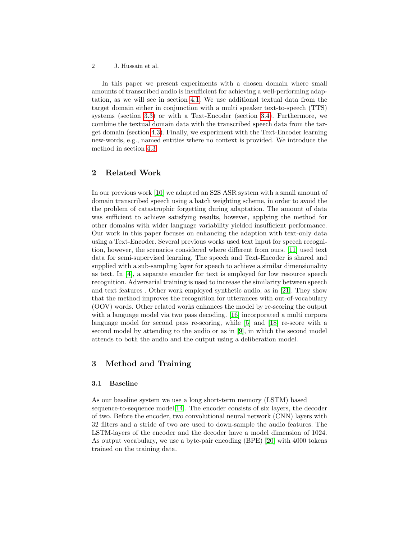#### 2 J. Hussain et al.

In this paper we present experiments with a chosen domain where small amounts of transcribed audio is insufficient for achieving a well-performing adaptation, as we will see in section [4.1.](#page-4-0) We use additional textual data from the target domain either in conjunction with a multi speaker text-to-speech (TTS) systems (section [3.3\)](#page-2-0) or with a Text-Encoder (section [3.4\)](#page-2-1). Furthermore, we combine the textual domain data with the transcribed speech data from the target domain (section [4.3\)](#page-5-0). Finally, we experiment with the Text-Encoder learning new-words, e.g., named entities where no context is provided. We introduce the method in section [4.3.](#page-5-0)

## 2 Related Work

In our previous work [\[10\]](#page-7-0) we adapted an S2S ASR system with a small amount of domain transcribed speech using a batch weighting scheme, in order to avoid the the problem of catastrophic forgetting during adaptation. The amount of data was sufficient to achieve satisfying results, however, applying the method for other domains with wider language variability yielded insufficient performance. Our work in this paper focuses on enhancing the adaption with text-only data using a Text-Encoder. Several previous works used text input for speech recognition, however, the scenarios considered where different from ours. [\[11\]](#page-7-1) used text data for semi-supervised learning. The speech and Text-Encoder is shared and supplied with a sub-sampling layer for speech to achieve a similar dimensionality as text. In [\[4\]](#page-6-3), a separate encoder for text is employed for low resource speech recognition. Adversarial training is used to increase the similarity between speech and text features . Other work employed synthetic audio, as in [\[21\]](#page-7-2). They show that the method improves the recognition for utterances with out-of-vocabulary (OOV) words. Other related works enhances the model by re-scoring the output with a language model via two pass decoding. [\[16\]](#page-7-3) incorporated a multi corpora language model for second pass re-scoring, while [\[5\]](#page-6-4) and [\[18\]](#page-7-4) re-score with a second model by attending to the audio or as in [\[9\]](#page-7-5), in which the second model attends to both the audio and the output using a deliberation model.

# 3 Method and Training

#### 3.1 Baseline

As our baseline system we use a long short-term memory (LSTM) based sequence-to-sequence model[\[14\]](#page-7-6). The encoder consists of six layers, the decoder of two. Before the encoder, two convolutional neural network (CNN) layers with 32 filters and a stride of two are used to down-sample the audio features. The LSTM-layers of the encoder and the decoder have a model dimension of 1024. As output vocabulary, we use a byte-pair encoding (BPE) [\[20\]](#page-7-7) with 4000 tokens trained on the training data.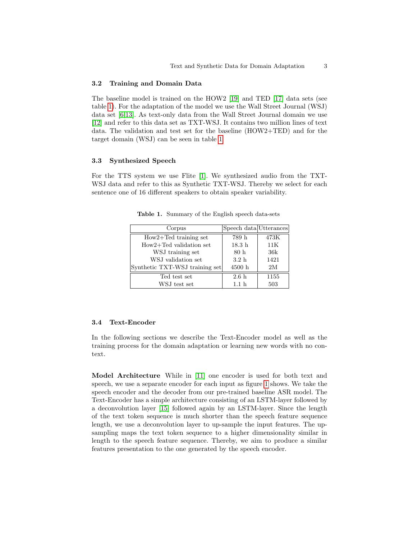#### 3.2 Training and Domain Data

The baseline model is trained on the HOW2 [\[19\]](#page-7-8) and TED [\[17\]](#page-7-9) data sets (see table [1\)](#page-2-2). For the adaptation of the model we use the Wall Street Journal (WSJ) data set [\[6](#page-6-5)[,13\]](#page-7-10). As text-only data from the Wall Street Journal domain we use [\[12\]](#page-7-11) and refer to this data set as TXT-WSJ. It contains two million lines of text data. The validation and test set for the baseline (HOW2+TED) and for the target domain (WSJ) can be seen in table [1](#page-2-2)

## <span id="page-2-0"></span>3.3 Synthesized Speech

For the TTS system we use Flite [\[1\]](#page-6-6). We synthesized audio from the TXT-WSJ data and refer to this as Synthetic TXT-WSJ. Thereby we select for each sentence one of 16 different speakers to obtain speaker variability.

| Corpus                         | Speech data Utterances |      |
|--------------------------------|------------------------|------|
| $How2+Ted training set$        | 789 h                  | 473K |
| How2+Ted validation set        | 18.3 <sub>h</sub>      | 11K  |
| WSJ training set               | 80h                    | 36k  |
| WSJ validation set             | 3.2h                   | 1421 |
| Synthetic TXT-WSJ training set | 4500 h                 | 2M   |
| Ted test set                   | 2.6h                   | 1155 |
| WSJ test set                   | 1.1 <sub>h</sub>       | 503  |

<span id="page-2-2"></span>Table 1. Summary of the English speech data-sets

## <span id="page-2-1"></span>3.4 Text-Encoder

In the following sections we describe the Text-Encoder model as well as the training process for the domain adaptation or learning new words with no context.

Model Architecture While in [\[11\]](#page-7-1) one encoder is used for both text and speech, we use a separate encoder for each input as figure [1](#page-3-0) shows. We take the speech encoder and the decoder from our pre-trained baseline ASR model. The Text-Encoder has a simple architecture consisting of an LSTM-layer followed by a deconvolution layer [\[15\]](#page-7-12) followed again by an LSTM-layer. Since the length of the text token sequence is much shorter than the speech feature sequence length, we use a deconvolution layer to up-sample the input features. The upsampling maps the text token sequence to a higher dimensionality similar in length to the speech feature sequence. Thereby, we aim to produce a similar features presentation to the one generated by the speech encoder.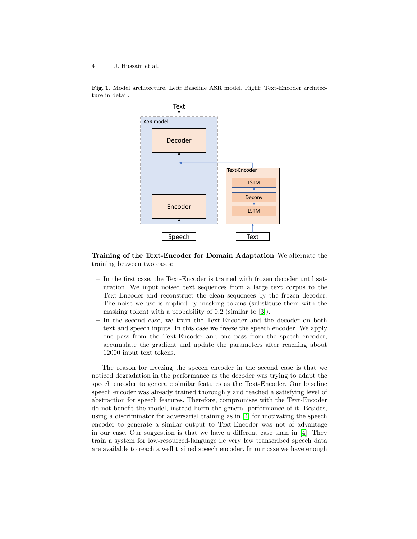4 J. Hussain et al.



<span id="page-3-0"></span>Fig. 1. Model architecture. Left: Baseline ASR model. Right: Text-Encoder architecture in detail.

Training of the Text-Encoder for Domain Adaptation We alternate the training between two cases:

- In the first case, the Text-Encoder is trained with frozen decoder until saturation. We input noised text sequences from a large text corpus to the Text-Encoder and reconstruct the clean sequences by the frozen decoder. The noise we use is applied by masking tokens (substitute them with the masking token) with a probability of 0.2 (similar to [\[3\]](#page-6-7)).
- In the second case, we train the Text-Encoder and the decoder on both text and speech inputs. In this case we freeze the speech encoder. We apply one pass from the Text-Encoder and one pass from the speech encoder, accumulate the gradient and update the parameters after reaching about 12000 input text tokens.

The reason for freezing the speech encoder in the second case is that we noticed degradation in the performance as the decoder was trying to adapt the speech encoder to generate similar features as the Text-Encoder. Our baseline speech encoder was already trained thoroughly and reached a satisfying level of abstraction for speech features. Therefore, compromises with the Text-Encoder do not benefit the model, instead harm the general performance of it. Besides, using a discriminator for adversarial training as in [\[4\]](#page-6-3) for motivating the speech encoder to generate a similar output to Text-Encoder was not of advantage in our case. Our suggestion is that we have a different case than in [\[4\]](#page-6-3). They train a system for low-resourced-language i.e very few transcribed speech data are available to reach a well trained speech encoder. In our case we have enough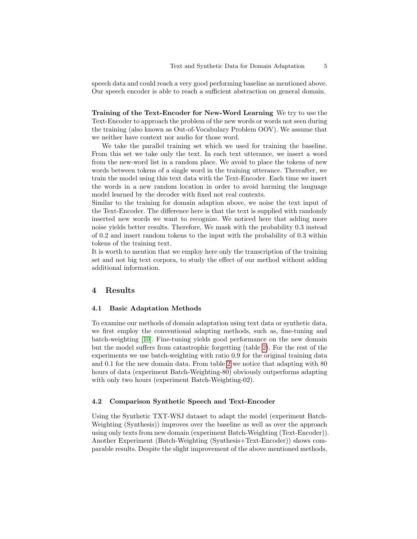speech data and could reach a very good performing baseline as mentioned above. Our speech encoder is able to reach a sufficient abstraction on general domain.

Training of the Text-Encoder for New-Word Learning We try to use the Text-Encoder to approach the problem of the new words or words not seen during the training (also known as Out-of-Vocabulary Problem OOV). We assume that we neither have context nor audio for those word.

We take the parallel training set which we used for training the baseline. From this set we take only the text. In each text utterance, we insert a word from the new-word list in a random place. We avoid to place the tokens of new words between tokens of a single word in the training utterance. Thereafter, we train the model using this text data with the Text-Encoder. Each time we insert the words in a new random location in order to avoid harming the language model learned by the decoder with fixed not real contexts.

Similar to the training for domain adaption above, we noise the text input of the Text-Encoder. The difference here is that the text is supplied with randomly inserted new words we want to recognize. We noticed here that adding more noise yields better results. Therefore, We mask with the probability 0.3 instead of 0.2 and insert random tokens to the input with the probability of 0.3 within tokens of the training text.

It is worth to mention that we employ here only the transcription of the training set and not big text corpora, to study the effect of our method without adding additional information.

## 4 Results

#### <span id="page-4-0"></span>4.1 Basic Adaptation Methods

To examine our methods of domain adaptation using text data or synthetic data, we first employ the conventional adapting methods, such as, fine-tuning and batch-weighting [\[10\]](#page-7-0). Fine-tuning yields good performance on the new domain but the model suffers from catastrophic forgetting (table [2\)](#page-5-1). For the rest of the experiments we use batch-weighting with ratio 0.9 for the original training data and 0.1 for the new domain data. From table [2](#page-5-1) we notice that adapting with 80 hours of data (experiment Batch-Weighting-80) obviously outperforms adapting with only two hours (experiment Batch-Weighting-02).

#### 4.2 Comparison Synthetic Speech and Text-Encoder

Using the Synthetic TXT-WSJ dataset to adapt the model (experiment Batch-Weighting (Synthesis)) improves over the baseline as well as over the approach using only texts from new domain (experiment Batch-Weighting (Text-Encoder)). Another Experiment (Batch-Weighting (Synthesis+Text-Encoder)) shows comparable results. Despite the slight improvement of the above mentioned methods,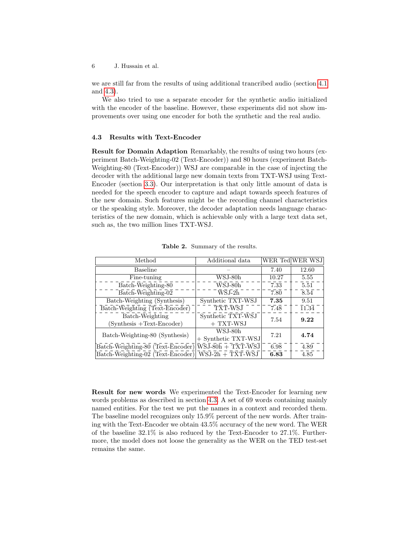6 J. Hussain et al.

we are still far from the results of using additional trancribed audio (section [4.1](#page-4-0) and [4.3\)](#page-5-0).

We also tried to use a separate encoder for the synthetic audio initialized with the encoder of the baseline. However, these experiments did not show improvements over using one encoder for both the synthetic and the real audio.

#### <span id="page-5-0"></span>4.3 Results with Text-Encoder

Result for Domain Adaption Remarkably, the results of using two hours (experiment Batch-Weighting-02 (Text-Encoder)) and 80 hours (experiment Batch-Weighting-80 (Text-Encoder)) WSJ are comparable in the case of injecting the decoder with the additional large new domain texts from TXT-WSJ using Text-Encoder (section [3.3\)](#page-2-2). Our interpretation is that only little amount of data is needed for the speech encoder to capture and adapt towards speech features of the new domain. Such features might be the recording channel characteristics or the speaking style. Moreover, the decoder adaptation needs language characteristics of the new domain, which is achievable only with a large text data set, such as, the two million lines TXT-WSJ.

| Method                            | Additional data     |       | WER Ted WER WSJ |
|-----------------------------------|---------------------|-------|-----------------|
| <b>Baseline</b>                   |                     | 7.40  | 12.60           |
| Fine-tuning                       | WSJ-80h             | 10.27 | 5.55            |
| Batch-Weighting-80                | WSJ-80h             | 7.33  | 5.51            |
| Batch-Weighting-02                | WSJ-2h              | 7.80  | 8.54            |
| Batch-Weighting (Synthesis)       | Synthetic TXT-WSJ   | 7.35  | 9.51            |
| Batch-Weighting (Text-Encoder)    | TXT-WSJ             | 7.48  | 11.34           |
| Batch-Weighting                   | Synthetic TXT-WSJ   | 7.54  | 9.22            |
| (Synthesis +Text-Encoder)         | $+$ TXT-WSJ         |       |                 |
| Batch-Weighting-80 (Synthesis)    | WSJ-80h             | 7.21  | 4.74            |
|                                   | + Synthetic TXT-WSJ |       |                 |
| Batch-Weighting-80 (Text-Encoder) | $WSJ-80h + TXT-WSJ$ | 6.98  | 4.89            |
| Batch-Weighting-02 (Text-Encoder) | $WSJ-2h + TXT-WSJ$  | 6.83  | 4.85            |

<span id="page-5-1"></span>Table 2. Summary of the results.

Result for new words We experimented the Text-Encoder for learning new words problems as described in section [4.3.](#page-5-0) A set of 69 words containing mainly named entities. For the test we put the names in a context and recorded them. The baseline model recognizes only 15.9% percent of the new words. After training with the Text-Encoder we obtain 43.5% accuracy of the new word. The WER of the baseline 32.1% is also reduced by the Text-Encoder to 27.1%. Furthermore, the model does not loose the generality as the WER on the TED test-set remains the same.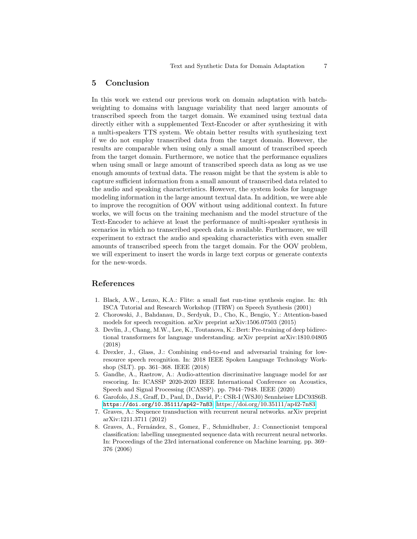## 5 Conclusion

In this work we extend our previous work on domain adaptation with batchweighting to domains with language variability that need larger amounts of transcribed speech from the target domain. We examined using textual data directly either with a supplemented Text-Encoder or after synthesizing it with a multi-speakers TTS system. We obtain better results with synthesizing text if we do not employ transcribed data from the target domain. However, the results are comparable when using only a small amount of transcribed speech from the target domain. Furthermore, we notice that the performance equalizes when using small or large amount of transcribed speech data as long as we use enough amounts of textual data. The reason might be that the system is able to capture sufficient information from a small amount of transcribed data related to the audio and speaking characteristics. However, the system looks for language modeling information in the large amount textual data. In addition, we were able to improve the recognition of OOV without using additional context. In future works, we will focus on the training mechanism and the model structure of the Text-Encoder to achieve at least the performance of multi-speaker synthesis in scenarios in which no transcribed speech data is available. Furthermore, we will experiment to extract the audio and speaking characteristics with even smaller amounts of transcribed speech from the target domain. For the OOV problem, we will experiment to insert the words in large text corpus or generate contexts for the new-words.

## References

- <span id="page-6-6"></span>1. Black, A.W., Lenzo, K.A.: Flite: a small fast run-time synthesis engine. In: 4th ISCA Tutorial and Research Workshop (ITRW) on Speech Synthesis (2001)
- <span id="page-6-2"></span>2. Chorowski, J., Bahdanau, D., Serdyuk, D., Cho, K., Bengio, Y.: Attention-based models for speech recognition. arXiv preprint arXiv:1506.07503 (2015)
- <span id="page-6-7"></span>3. Devlin, J., Chang, M.W., Lee, K., Toutanova, K.: Bert: Pre-training of deep bidirectional transformers for language understanding. arXiv preprint arXiv:1810.04805 (2018)
- <span id="page-6-3"></span>4. Drexler, J., Glass, J.: Combining end-to-end and adversarial training for lowresource speech recognition. In: 2018 IEEE Spoken Language Technology Workshop (SLT). pp. 361–368. IEEE (2018)
- <span id="page-6-4"></span>5. Gandhe, A., Rastrow, A.: Audio-attention discriminative language model for asr rescoring. In: ICASSP 2020-2020 IEEE International Conference on Acoustics, Speech and Signal Processing (ICASSP). pp. 7944–7948. IEEE (2020)
- <span id="page-6-5"></span>6. Garofolo, J.S., Graff, D., Paul, D., David, P.: CSR-I (WSJ0) Sennheiser LDC93S6B. <https://doi.org/10.35111/ap42-7n83>.<https://doi.org/10.35111/ap42-7n83>
- <span id="page-6-1"></span>7. Graves, A.: Sequence transduction with recurrent neural networks. arXiv preprint arXiv:1211.3711 (2012)
- <span id="page-6-0"></span>8. Graves, A., Fern´andez, S., Gomez, F., Schmidhuber, J.: Connectionist temporal classification: labelling unsegmented sequence data with recurrent neural networks. In: Proceedings of the 23rd international conference on Machine learning. pp. 369– 376 (2006)